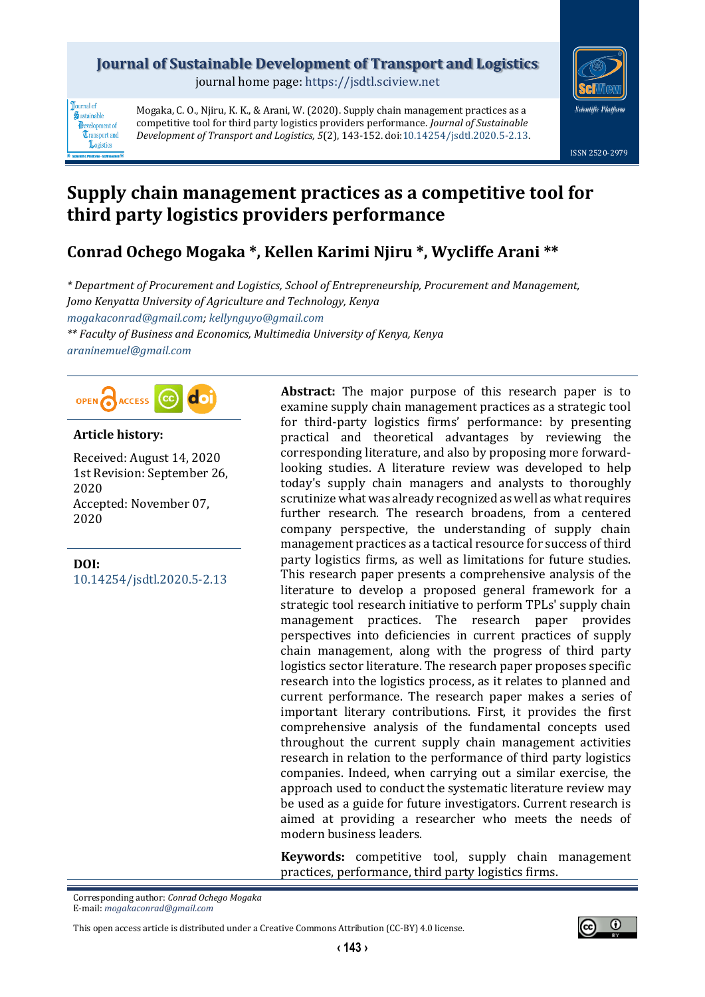# **Journal of Sustainable Development of Transport and Logistics**

journal home page: [https://jsdtl.sciview.net](https://jsdtl.sciview.net/)



**Tournal** of Sustainable **D**evelopment of **Transport** and Logistics

Mogaka, C. O., Njiru, K. K., & Arani, W. (2020). Supply chain management practices as a competitive tool for third party logistics providers performance. *Journal of Sustainable Development of Transport and Logistics, 5*(2), 143-152. doi[:10.14254/jsdtl.2020.5-2.13.](https://doi.org/10.14254/jsdtl.2020.5-2.13)

# **Supply chain management practices as a competitive tool for third party logistics providers performance**

# **Conrad Ochego Mogaka \*, Kellen Karimi Njiru \*, Wycliffe Arani \*\***

*\* Department of Procurement and Logistics, School of Entrepreneurship, Procurement and Management, Jomo Kenyatta University of Agriculture and Technology, Kenya [mogakaconrad@gmail.com;](mailto:mogakaconrad@gmail.com) [kellynguyo@gmail.com](mailto:kellynguyo@gmail.com) \*\* Faculty of Business and Economics, Multimedia University of Kenya, Kenya [araninemuel@gmail.com](mailto:araninemuel@gmail.com)*



## **Article history:**

Received: August 14, 2020 1st Revision: September 26, 2020 Accepted: November 07, 2020

**DOI:** [10.14254/jsdtl.2020.5-2.13](https://doi.org/10.14254/jsdtl.2020.5-2.13) **Abstract:** The major purpose of this research paper is to examine supply chain management practices as a strategic tool for third-party logistics firms' performance: by presenting practical and theoretical advantages by reviewing the corresponding literature, and also by proposing more forwardlooking studies. A literature review was developed to help today's supply chain managers and analysts to thoroughly scrutinize what was already recognized as well as what requires further research. The research broadens, from a centered company perspective, the understanding of supply chain management practices as a tactical resource for success of third party logistics firms, as well as limitations for future studies. This research paper presents a comprehensive analysis of the literature to develop a proposed general framework for a strategic tool research initiative to perform TPLs' supply chain management practices. The research paper provides perspectives into deficiencies in current practices of supply chain management, along with the progress of third party logistics sector literature. The research paper proposes specific research into the logistics process, as it relates to planned and current performance. The research paper makes a series of important literary contributions. First, it provides the first comprehensive analysis of the fundamental concepts used throughout the current supply chain management activities research in relation to the performance of third party logistics companies. Indeed, when carrying out a similar exercise, the approach used to conduct the systematic literature review may be used as a guide for future investigators. Current research is aimed at providing a researcher who meets the needs of modern business leaders.

**Keywords:** competitive tool, supply chain management practices, performance, third party logistics firms.

Corresponding author: *Conrad Ochego Mogaka* E-mail: *[mogakaconrad@gmail.com](mailto:mogakaconrad@gmail.com)*

This open access article is distributed under [a Creative Commons Attribution \(CC-BY\) 4.0 license.](http://creativecommons.org/licenses/by/4.0/)

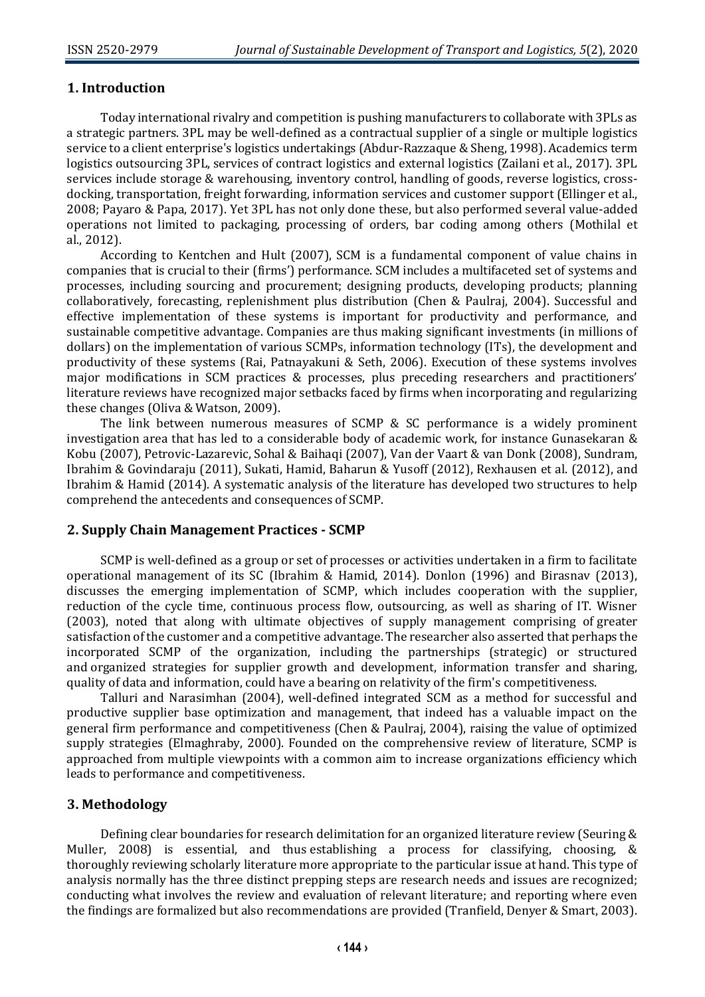## **1. Introduction**

Today international rivalry and competition is pushing manufacturers to collaborate with 3PLs as a strategic partners. 3PL may be well-defined as a contractual supplier of a single or multiple logistics service to a client enterprise's logistics undertakings (Abdur-Razzaque & Sheng, 1998). Academics term logistics outsourcing 3PL, services of contract logistics and external logistics (Zailani et al., 2017). 3PL services include storage & warehousing, inventory control, handling of goods, reverse logistics, crossdocking, transportation, freight forwarding, information services and customer support (Ellinger et al., 2008; Payaro & Papa, 2017). Yet 3PL has not only done these, but also performed several value-added operations not limited to packaging, processing of orders, bar coding among others (Mothilal et al., 2012).

According to Kentchen and Hult (2007), SCM is a fundamental component of value chains in companies that is crucial to their (firms') performance. SCM includes a multifaceted set of systems and processes, including sourcing and procurement; designing products, developing products; planning collaboratively, forecasting, replenishment plus distribution (Chen & Paulraj, 2004). Successful and effective implementation of these systems is important for productivity and performance, and sustainable competitive advantage. Companies are thus making significant investments (in millions of dollars) on the implementation of various SCMPs, information technology (ITs), the development and productivity of these systems (Rai, Patnayakuni & Seth, 2006). Execution of these systems involves major modifications in SCM practices & processes, plus preceding researchers and practitioners' literature reviews have recognized major setbacks faced by firms when incorporating and regularizing these changes (Oliva & Watson, 2009).

The link between numerous measures of SCMP & SC performance is a widely prominent investigation area that has led to a considerable body of academic work, for instance Gunasekaran & Kobu (2007), Petrovic-Lazarevic, Sohal & Baihaqi (2007), Van der Vaart & van Donk (2008), Sundram, Ibrahim & Govindaraju (2011), Sukati, Hamid, Baharun & Yusoff (2012), Rexhausen et al. (2012), and Ibrahim & Hamid (2014). A systematic analysis of the literature has developed two structures to help comprehend the antecedents and consequences of SCMP.

#### **2. Supply Chain Management Practices - SCMP**

SCMP is well-defined as a group or set of processes or activities undertaken in a firm to facilitate operational management of its SC (Ibrahim & Hamid, 2014). Donlon (1996) and Birasnav (2013), discusses the emerging implementation of SCMP, which includes cooperation with the supplier, reduction of the cycle time, continuous process flow, outsourcing, as well as sharing of IT. Wisner (2003), noted that along with ultimate objectives of supply management comprising of greater satisfaction of the customer and a competitive advantage. The researcher also asserted that perhaps the incorporated SCMP of the organization, including the partnerships (strategic) or structured and organized strategies for supplier growth and development, information transfer and sharing, quality of data and information, could have a bearing on relativity of the firm's competitiveness.

Talluri and Narasimhan (2004), well-defined integrated SCM as a method for successful and productive supplier base optimization and management, that indeed has a valuable impact on the general firm performance and competitiveness (Chen & Paulraj, 2004), raising the value of optimized supply strategies (Elmaghraby, 2000). Founded on the comprehensive review of literature, SCMP is approached from multiple viewpoints with a common aim to increase organizations efficiency which leads to performance and competitiveness.

# **3. Methodology**

Defining clear boundaries for research delimitation for an organized literature review (Seuring & Muller, 2008) is essential, and thus establishing a process for classifying, choosing, & thoroughly reviewing scholarly literature more appropriate to the particular issue at hand. This type of analysis normally has the three distinct prepping steps are research needs and issues are recognized; conducting what involves the review and evaluation of relevant literature; and reporting where even the findings are formalized but also recommendations are provided (Tranfield, Denyer & Smart, 2003).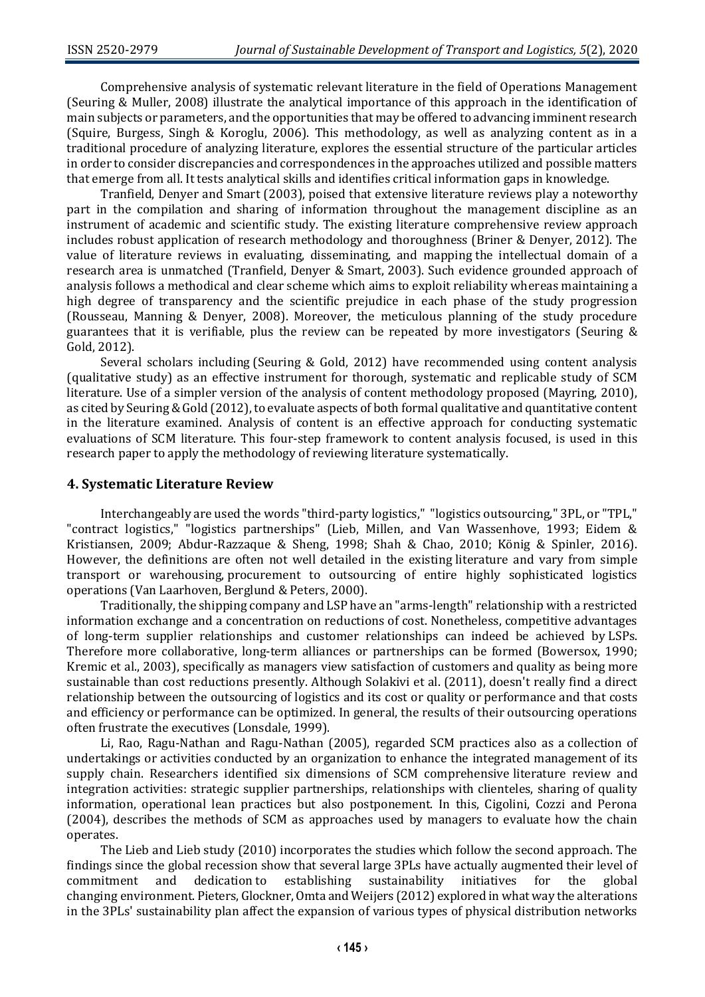Comprehensive analysis of systematic relevant literature in the field of Operations Management (Seuring & Muller, 2008) illustrate the analytical importance of this approach in the identification of main subjects or parameters, and the opportunities that may be offered to advancing imminent research (Squire, Burgess, Singh & Koroglu, 2006). This methodology, as well as analyzing content as in a traditional procedure of analyzing literature, explores the essential structure of the particular articles in order to consider discrepancies and correspondences in the approaches utilized and possible matters that emerge from all. It tests analytical skills and identifies critical information gaps in knowledge.

Tranfield, Denyer and Smart (2003), poised that extensive literature reviews play a noteworthy part in the compilation and sharing of information throughout the management discipline as an instrument of academic and scientific study. The existing literature comprehensive review approach includes robust application of research methodology and thoroughness (Briner & Denyer, 2012). The value of literature reviews in evaluating, disseminating, and mapping the intellectual domain of a research area is unmatched (Tranfield, Denyer & Smart, 2003). Such evidence grounded approach of analysis follows a methodical and clear scheme which aims to exploit reliability whereas maintaining a high degree of transparency and the scientific prejudice in each phase of the study progression (Rousseau, Manning & Denyer, 2008). Moreover, the meticulous planning of the study procedure guarantees that it is verifiable, plus the review can be repeated by more investigators (Seuring & Gold, 2012).

Several scholars including (Seuring & Gold, 2012) have recommended using content analysis (qualitative study) as an effective instrument for thorough, systematic and replicable study of SCM literature. Use of a simpler version of the analysis of content methodology proposed (Mayring, 2010), as cited by Seuring & Gold (2012), to evaluate aspects of both formal qualitative and quantitative content in the literature examined. Analysis of content is an effective approach for conducting systematic evaluations of SCM literature. This four-step framework to content analysis focused, is used in this research paper to apply the methodology of reviewing literature systematically.

#### **4. Systematic Literature Review**

Interchangeably are used the words "third-party logistics," "logistics outsourcing," 3PL, or "TPL," "contract logistics," "logistics partnerships" (Lieb, Millen, and Van Wassenhove, 1993; Eidem & Kristiansen, 2009; Abdur-Razzaque & Sheng, 1998; Shah & Chao, 2010; König & Spinler, 2016). However, the definitions are often not well detailed in the existing literature and vary from simple transport or warehousing, procurement to outsourcing of entire highly sophisticated logistics operations (Van Laarhoven, Berglund & Peters, 2000).

Traditionally, the shipping company and LSP have an "arms-length" relationship with a restricted information exchange and a concentration on reductions of cost. Nonetheless, competitive advantages of long-term supplier relationships and customer relationships can indeed be achieved by LSPs. Therefore more collaborative, long-term alliances or partnerships can be formed (Bowersox, 1990; Kremic et al., 2003), specifically as managers view satisfaction of customers and quality as being more sustainable than cost reductions presently. Although Solakivi et al. (2011), doesn't really find a direct relationship between the outsourcing of logistics and its cost or quality or performance and that costs and efficiency or performance can be optimized. In general, the results of their outsourcing operations often frustrate the executives (Lonsdale, 1999).

Li, Rao, Ragu-Nathan and Ragu-Nathan (2005), regarded SCM practices also as a collection of undertakings or activities conducted by an organization to enhance the integrated management of its supply chain. Researchers identified six dimensions of SCM comprehensive literature review and integration activities: strategic supplier partnerships, relationships with clienteles, sharing of quality information, operational lean practices but also postponement. In this, Cigolini, Cozzi and Perona (2004), describes the methods of SCM as approaches used by managers to evaluate how the chain operates.

The Lieb and Lieb study (2010) incorporates the studies which follow the second approach. The findings since the global recession show that several large 3PLs have actually augmented their level of commitment and dedication to establishing sustainability initiatives for the global changing environment. Pieters, Glockner, Omta and Weijers (2012) explored in what way the alterations in the 3PLs' sustainability plan affect the expansion of various types of physical distribution networks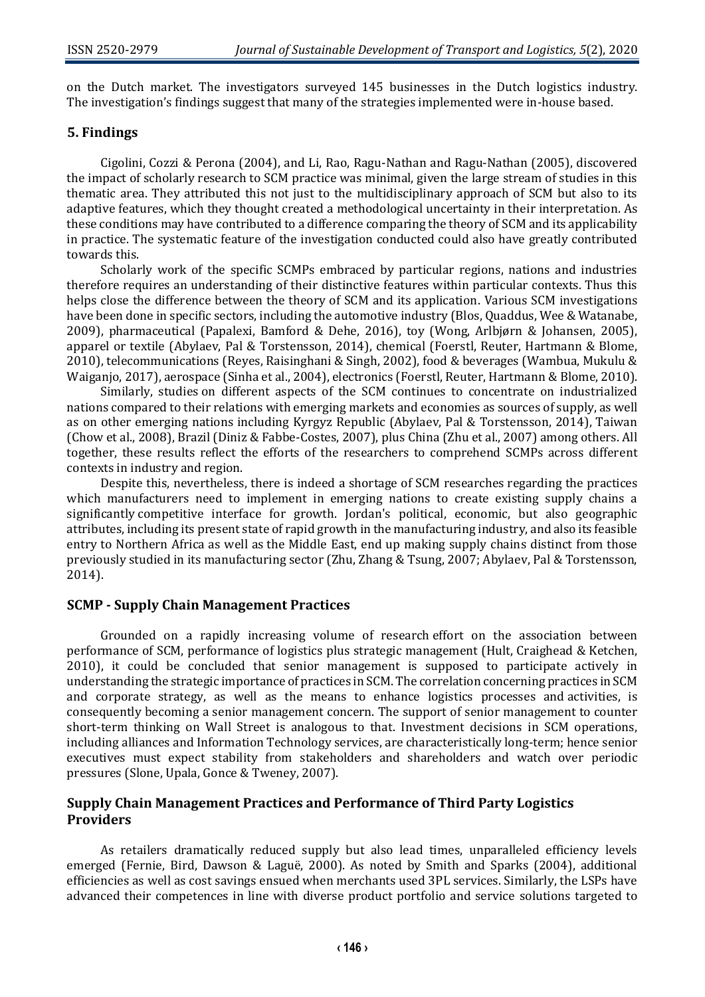on the Dutch market. The investigators surveyed 145 businesses in the Dutch logistics industry. The investigation's findings suggest that many of the strategies implemented were in-house based.

## **5. Findings**

Cigolini, Cozzi & Perona (2004), and Li, Rao, Ragu-Nathan and Ragu-Nathan (2005), discovered the impact of scholarly research to SCM practice was minimal, given the large stream of studies in this thematic area. They attributed this not just to the multidisciplinary approach of SCM but also to its adaptive features, which they thought created a methodological uncertainty in their interpretation. As these conditions may have contributed to a difference comparing the theory of SCM and its applicability in practice. The systematic feature of the investigation conducted could also have greatly contributed towards this.

Scholarly work of the specific SCMPs embraced by particular regions, nations and industries therefore requires an understanding of their distinctive features within particular contexts. Thus this helps close the difference between the theory of SCM and its application. Various SCM investigations have been done in specific sectors, including the automotive industry (Blos, Quaddus, Wee & Watanabe, 2009), pharmaceutical (Papalexi, Bamford & Dehe, 2016), toy (Wong, Arlbjørn & Johansen, 2005), apparel or textile (Abylaev, Pal & Torstensson, 2014), chemical (Foerstl, Reuter, Hartmann & Blome, 2010), telecommunications (Reyes, Raisinghani & Singh, 2002), food & beverages (Wambua, Mukulu & Waiganjo, 2017), aerospace (Sinha et al., 2004), electronics (Foerstl, Reuter, Hartmann & Blome, 2010).

Similarly, studies on different aspects of the SCM continues to concentrate on industrialized nations compared to their relations with emerging markets and economies as sources of supply, as well as on other emerging nations including Kyrgyz Republic (Abylaev, Pal & Torstensson, 2014), Taiwan (Chow et al., 2008), Brazil (Diniz & Fabbe-Costes, 2007), plus China (Zhu et al., 2007) among others. All together, these results reflect the efforts of the researchers to comprehend SCMPs across different contexts in industry and region.

Despite this, nevertheless, there is indeed a shortage of SCM researches regarding the practices which manufacturers need to implement in emerging nations to create existing supply chains a significantly competitive interface for growth. Jordan's political, economic, but also geographic attributes, including its present state of rapid growth in the manufacturing industry, and also its feasible entry to Northern Africa as well as the Middle East, end up making supply chains distinct from those previously studied in its manufacturing sector (Zhu, Zhang & Tsung, 2007; Abylaev, Pal & Torstensson, 2014).

#### **SCMP - Supply Chain Management Practices**

Grounded on a rapidly increasing volume of research effort on the association between performance of SCM, performance of logistics plus strategic management (Hult, Craighead & Ketchen, 2010), it could be concluded that senior management is supposed to participate actively in understanding the strategic importance of practices in SCM. The correlation concerning practices in SCM and corporate strategy, as well as the means to enhance logistics processes and activities, is consequently becoming a senior management concern. The support of senior management to counter short-term thinking on Wall Street is analogous to that. Investment decisions in SCM operations, including alliances and Information Technology services, are characteristically long-term; hence senior executives must expect stability from stakeholders and shareholders and watch over periodic pressures (Slone, Upala, Gonce & Tweney, 2007).

## **Supply Chain Management Practices and Performance of Third Party Logistics Providers**

As retailers dramatically reduced supply but also lead times, unparalleled efficiency levels emerged (Fernie, Bird, Dawson & Laguë, 2000). As noted by Smith and Sparks (2004), additional efficiencies as well as cost savings ensued when merchants used 3PL services. Similarly, the LSPs have advanced their competences in line with diverse product portfolio and service solutions targeted to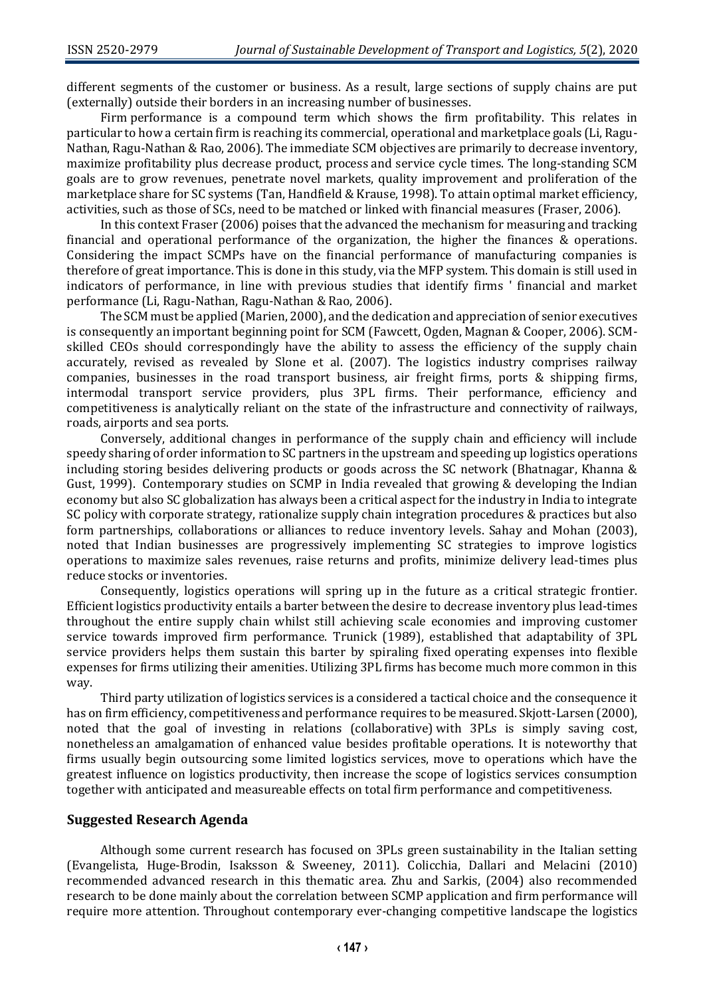different segments of the customer or business. As a result, large sections of supply chains are put (externally) outside their borders in an increasing number of businesses.

Firm performance is a compound term which shows the firm profitability. This relates in particular to how a certain firm is reaching its commercial, operational and marketplace goals (Li, Ragu-Nathan, Ragu-Nathan & Rao, 2006). The immediate SCM objectives are primarily to decrease inventory, maximize profitability plus decrease product, process and service cycle times. The long-standing SCM goals are to grow revenues, penetrate novel markets, quality improvement and proliferation of the marketplace share for SC systems (Tan, Handfield & Krause, 1998). To attain optimal market efficiency, activities, such as those of SCs, need to be matched or linked with financial measures (Fraser, 2006).

In this context Fraser (2006) poises that the advanced the mechanism for measuring and tracking financial and operational performance of the organization, the higher the finances & operations. Considering the impact SCMPs have on the financial performance of manufacturing companies is therefore of great importance. This is done in this study, via the MFP system. This domain is still used in indicators of performance, in line with previous studies that identify firms ' financial and market performance (Li, Ragu-Nathan, Ragu-Nathan & Rao, 2006).

The SCM must be applied (Marien, 2000), and the dedication and appreciation of senior executives is consequently an important beginning point for SCM (Fawcett, Ogden, Magnan & Cooper, 2006). SCMskilled CEOs should correspondingly have the ability to assess the efficiency of the supply chain accurately, revised as revealed by Slone et al. (2007). The logistics industry comprises railway companies, businesses in the road transport business, air freight firms, ports & shipping firms, intermodal transport service providers, plus 3PL firms. Their performance, efficiency and competitiveness is analytically reliant on the state of the infrastructure and connectivity of railways, roads, airports and sea ports.

Conversely, additional changes in performance of the supply chain and efficiency will include speedy sharing of order information to SC partners in the upstream and speeding up logistics operations including storing besides delivering products or goods across the SC network (Bhatnagar, Khanna & Gust, 1999). Contemporary studies on SCMP in India revealed that growing & developing the Indian economy but also SC globalization has always been a critical aspect for the industry in India to integrate SC policy with corporate strategy, rationalize supply chain integration procedures & practices but also form partnerships, collaborations or alliances to reduce inventory levels. Sahay and Mohan (2003), noted that Indian businesses are progressively implementing SC strategies to improve logistics operations to maximize sales revenues, raise returns and profits, minimize delivery lead-times plus reduce stocks or inventories.

Consequently, logistics operations will spring up in the future as a critical strategic frontier. Efficient logistics productivity entails a barter between the desire to decrease inventory plus lead-times throughout the entire supply chain whilst still achieving scale economies and improving customer service towards improved firm performance. Trunick (1989), established that adaptability of 3PL service providers helps them sustain this barter by spiraling fixed operating expenses into flexible expenses for firms utilizing their amenities. Utilizing 3PL firms has become much more common in this way.

Third party utilization of logistics services is a considered a tactical choice and the consequence it has on firm efficiency, competitiveness and performance requires to be measured. Skjott-Larsen (2000), noted that the goal of investing in relations (collaborative) with 3PLs is simply saving cost, nonetheless an amalgamation of enhanced value besides profitable operations. It is noteworthy that firms usually begin outsourcing some limited logistics services, move to operations which have the greatest influence on logistics productivity, then increase the scope of logistics services consumption together with anticipated and measureable effects on total firm performance and competitiveness.

#### **Suggested Research Agenda**

Although some current research has focused on 3PLs green sustainability in the Italian setting (Evangelista, Huge-Brodin, Isaksson & Sweeney, 2011). Colicchia, Dallari and Melacini (2010) recommended advanced research in this thematic area. Zhu and Sarkis, (2004) also recommended research to be done mainly about the correlation between SCMP application and firm performance will require more attention. Throughout contemporary ever-changing competitive landscape the logistics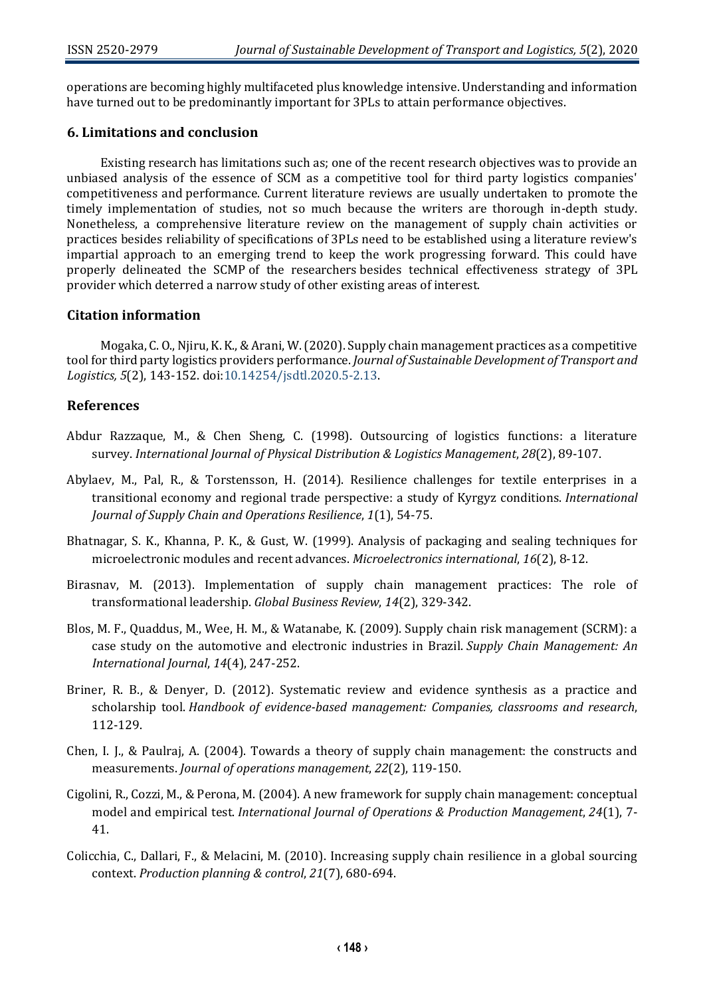operations are becoming highly multifaceted plus knowledge intensive. Understanding and information have turned out to be predominantly important for 3PLs to attain performance objectives.

## **6. Limitations and conclusion**

Existing research has limitations such as; one of the recent research objectives was to provide an unbiased analysis of the essence of SCM as a competitive tool for third party logistics companies' competitiveness and performance. Current literature reviews are usually undertaken to promote the timely implementation of studies, not so much because the writers are thorough in-depth study. Nonetheless, a comprehensive literature review on the management of supply chain activities or practices besides reliability of specifications of 3PLs need to be established using a literature review's impartial approach to an emerging trend to keep the work progressing forward. This could have properly delineated the SCMP of the researchers besides technical effectiveness strategy of 3PL provider which deterred a narrow study of other existing areas of interest.

#### **Citation information**

Mogaka, C. O., Njiru, K. K., & Arani, W. (2020). Supply chain management practices as a competitive tool for third party logistics providers performance. *Journal of Sustainable Development of Transport and Logistics, 5*(2), 143-152. doi[:10.14254/jsdtl.2020.5-2.13.](https://doi.org/10.14254/jsdtl.2020.5-2.13)

#### **References**

- Abdur Razzaque, M., & Chen Sheng, C. (1998). Outsourcing of logistics functions: a literature survey. *International Journal of Physical Distribution & Logistics Management*, *28*(2), 89-107.
- Abylaev, M., Pal, R., & Torstensson, H. (2014). Resilience challenges for textile enterprises in a transitional economy and regional trade perspective: a study of Kyrgyz conditions. *International Journal of Supply Chain and Operations Resilience*, *1*(1), 54-75.
- Bhatnagar, S. K., Khanna, P. K., & Gust, W. (1999). Analysis of packaging and sealing techniques for microelectronic modules and recent advances. *Microelectronics international*, *16*(2), 8-12.
- Birasnav, M. (2013). Implementation of supply chain management practices: The role of transformational leadership. *Global Business Review*, *14*(2), 329-342.
- Blos, M. F., Quaddus, M., Wee, H. M., & Watanabe, K. (2009). Supply chain risk management (SCRM): a case study on the automotive and electronic industries in Brazil. *Supply Chain Management: An International Journal*, *14*(4), 247-252.
- Briner, R. B., & Denyer, D. (2012). Systematic review and evidence synthesis as a practice and scholarship tool. *Handbook of evidence-based management: Companies, classrooms and research*, 112-129.
- Chen, I. J., & Paulraj, A. (2004). Towards a theory of supply chain management: the constructs and measurements. *Journal of operations management*, *22*(2), 119-150.
- Cigolini, R., Cozzi, M., & Perona, M. (2004). A new framework for supply chain management: conceptual model and empirical test. *International Journal of Operations & Production Management*, *24*(1), 7- 41.
- Colicchia, C., Dallari, F., & Melacini, M. (2010). Increasing supply chain resilience in a global sourcing context. *Production planning & control*, *21*(7), 680-694.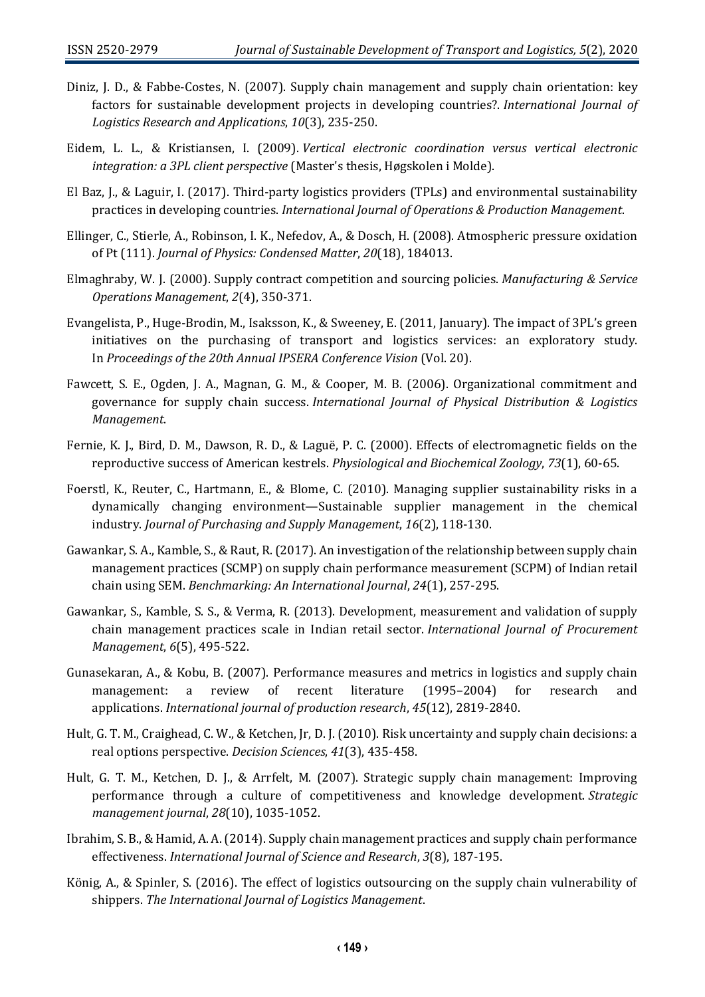- Diniz, J. D., & Fabbe-Costes, N. (2007). Supply chain management and supply chain orientation: key factors for sustainable development projects in developing countries?. *International Journal of Logistics Research and Applications*, *10*(3), 235-250.
- Eidem, L. L., & Kristiansen, I. (2009). *Vertical electronic coordination versus vertical electronic integration: a 3PL client perspective* (Master's thesis, Høgskolen i Molde).
- El Baz, J., & Laguir, I. (2017). Third-party logistics providers (TPLs) and environmental sustainability practices in developing countries. *International Journal of Operations & Production Management*.
- Ellinger, C., Stierle, A., Robinson, I. K., Nefedov, A., & Dosch, H. (2008). Atmospheric pressure oxidation of Pt (111). *Journal of Physics: Condensed Matter*, *20*(18), 184013.
- Elmaghraby, W. J. (2000). Supply contract competition and sourcing policies. *Manufacturing & Service Operations Management*, *2*(4), 350-371.
- Evangelista, P., Huge-Brodin, M., Isaksson, K., & Sweeney, E. (2011, January). The impact of 3PL's green initiatives on the purchasing of transport and logistics services: an exploratory study. In *Proceedings of the 20th Annual IPSERA Conference Vision* (Vol. 20).
- Fawcett, S. E., Ogden, J. A., Magnan, G. M., & Cooper, M. B. (2006). Organizational commitment and governance for supply chain success. *International Journal of Physical Distribution & Logistics Management*.
- Fernie, K. J., Bird, D. M., Dawson, R. D., & Laguë, P. C. (2000). Effects of electromagnetic fields on the reproductive success of American kestrels. *Physiological and Biochemical Zoology*, *73*(1), 60-65.
- Foerstl, K., Reuter, C., Hartmann, E., & Blome, C. (2010). Managing supplier sustainability risks in a dynamically changing environment—Sustainable supplier management in the chemical industry. *Journal of Purchasing and Supply Management*, *16*(2), 118-130.
- Gawankar, S. A., Kamble, S., & Raut, R. (2017). An investigation of the relationship between supply chain management practices (SCMP) on supply chain performance measurement (SCPM) of Indian retail chain using SEM. *Benchmarking: An International Journal*, *24*(1), 257-295.
- Gawankar, S., Kamble, S. S., & Verma, R. (2013). Development, measurement and validation of supply chain management practices scale in Indian retail sector. *International Journal of Procurement Management*, *6*(5), 495-522.
- Gunasekaran, A., & Kobu, B. (2007). Performance measures and metrics in logistics and supply chain management: a review of recent literature (1995–2004) for research and applications. *International journal of production research*, *45*(12), 2819-2840.
- Hult, G. T. M., Craighead, C. W., & Ketchen, Jr, D. J. (2010). Risk uncertainty and supply chain decisions: a real options perspective. *Decision Sciences*, *41*(3), 435-458.
- Hult, G. T. M., Ketchen, D. J., & Arrfelt, M. (2007). Strategic supply chain management: Improving performance through a culture of competitiveness and knowledge development. *Strategic management journal*, *28*(10), 1035-1052.
- Ibrahim, S. B., & Hamid, A. A. (2014). Supply chain management practices and supply chain performance effectiveness. *International Journal of Science and Research*, *3*(8), 187-195.
- König, A., & Spinler, S. (2016). The effect of logistics outsourcing on the supply chain vulnerability of shippers. *The International Journal of Logistics Management*.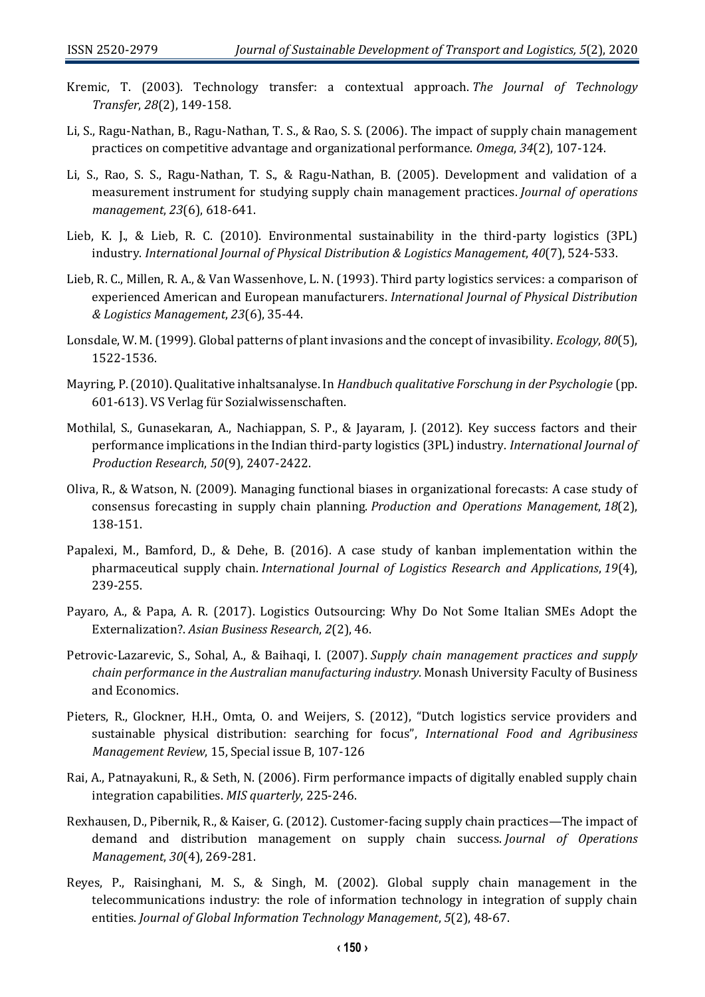- Kremic, T. (2003). Technology transfer: a contextual approach. *The Journal of Technology Transfer*, *28*(2), 149-158.
- Li, S., Ragu-Nathan, B., Ragu-Nathan, T. S., & Rao, S. S. (2006). The impact of supply chain management practices on competitive advantage and organizational performance. *Omega*, *34*(2), 107-124.
- Li, S., Rao, S. S., Ragu-Nathan, T. S., & Ragu-Nathan, B. (2005). Development and validation of a measurement instrument for studying supply chain management practices. *Journal of operations management*, *23*(6), 618-641.
- Lieb, K. J., & Lieb, R. C. (2010). Environmental sustainability in the third-party logistics (3PL) industry. *International Journal of Physical Distribution & Logistics Management*, *40*(7), 524-533.
- Lieb, R. C., Millen, R. A., & Van Wassenhove, L. N. (1993). Third party logistics services: a comparison of experienced American and European manufacturers. *International Journal of Physical Distribution & Logistics Management*, *23*(6), 35-44.
- Lonsdale, W. M. (1999). Global patterns of plant invasions and the concept of invasibility. *Ecology*, *80*(5), 1522-1536.
- Mayring, P. (2010). Qualitative inhaltsanalyse. In *Handbuch qualitative Forschung in der Psychologie* (pp. 601-613). VS Verlag für Sozialwissenschaften.
- Mothilal, S., Gunasekaran, A., Nachiappan, S. P., & Jayaram, J. (2012). Key success factors and their performance implications in the Indian third-party logistics (3PL) industry. *International Journal of Production Research*, *50*(9), 2407-2422.
- Oliva, R., & Watson, N. (2009). Managing functional biases in organizational forecasts: A case study of consensus forecasting in supply chain planning. *Production and Operations Management*, *18*(2), 138-151.
- Papalexi, M., Bamford, D., & Dehe, B. (2016). A case study of kanban implementation within the pharmaceutical supply chain. *International Journal of Logistics Research and Applications*, *19*(4), 239-255.
- Payaro, A., & Papa, A. R. (2017). Logistics Outsourcing: Why Do Not Some Italian SMEs Adopt the Externalization?. *Asian Business Research*, *2*(2), 46.
- Petrovic-Lazarevic, S., Sohal, A., & Baihaqi, I. (2007). *Supply chain management practices and supply chain performance in the Australian manufacturing industry*. Monash University Faculty of Business and Economics.
- Pieters, R., Glockner, H.H., Omta, O. and Weijers, S. (2012), "Dutch logistics service providers and sustainable physical distribution: searching for focus", *International Food and Agribusiness Management Review*, 15, Special issue B, 107-126
- Rai, A., Patnayakuni, R., & Seth, N. (2006). Firm performance impacts of digitally enabled supply chain integration capabilities. *MIS quarterly*, 225-246.
- Rexhausen, D., Pibernik, R., & Kaiser, G. (2012). Customer-facing supply chain practices—The impact of demand and distribution management on supply chain success. *Journal of Operations Management*, *30*(4), 269-281.
- Reyes, P., Raisinghani, M. S., & Singh, M. (2002). Global supply chain management in the telecommunications industry: the role of information technology in integration of supply chain entities. *Journal of Global Information Technology Management*, *5*(2), 48-67.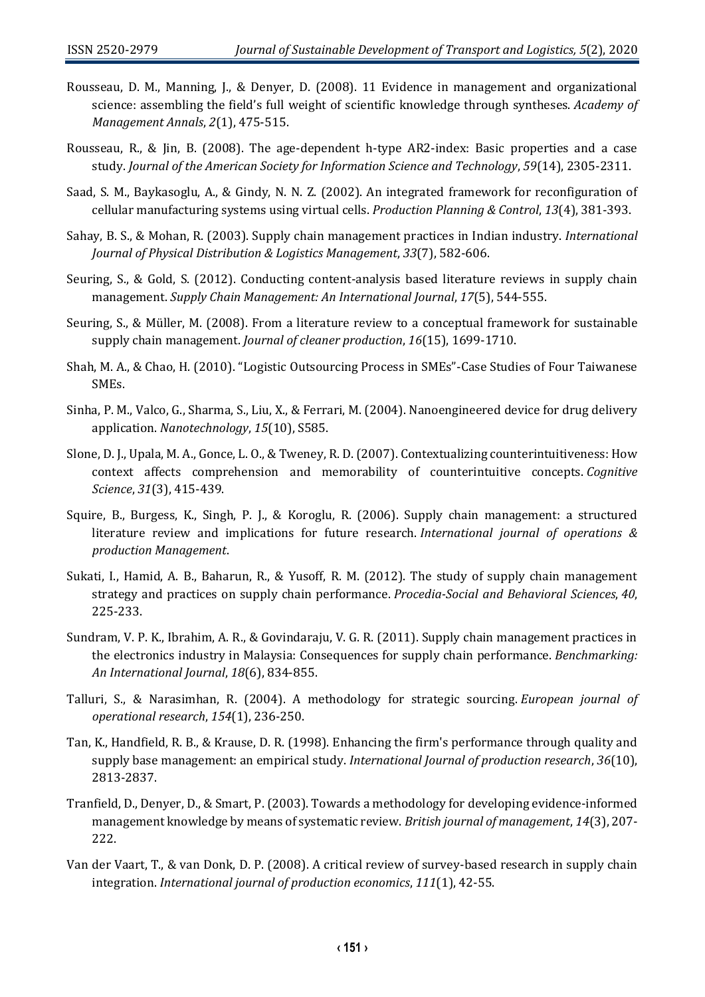- Rousseau, D. M., Manning, J., & Denyer, D. (2008). 11 Evidence in management and organizational science: assembling the field's full weight of scientific knowledge through syntheses. *Academy of Management Annals*, *2*(1), 475-515.
- Rousseau, R., & Jin, B. (2008). The age‐dependent h‐type AR2‐index: Basic properties and a case study. *Journal of the American Society for Information Science and Technology*, *59*(14), 2305-2311.
- Saad, S. M., Baykasoglu, A., & Gindy, N. N. Z. (2002). An integrated framework for reconfiguration of cellular manufacturing systems using virtual cells. *Production Planning & Control*, *13*(4), 381-393.
- Sahay, B. S., & Mohan, R. (2003). Supply chain management practices in Indian industry. *International Journal of Physical Distribution & Logistics Management*, *33*(7), 582-606.
- Seuring, S., & Gold, S. (2012). Conducting content-analysis based literature reviews in supply chain management. *Supply Chain Management: An International Journal*, *17*(5), 544-555.
- Seuring, S., & Müller, M. (2008). From a literature review to a conceptual framework for sustainable supply chain management. *Journal of cleaner production*, *16*(15), 1699-1710.
- Shah, M. A., & Chao, H. (2010). "Logistic Outsourcing Process in SMEs"-Case Studies of Four Taiwanese SMEs.
- Sinha, P. M., Valco, G., Sharma, S., Liu, X., & Ferrari, M. (2004). Nanoengineered device for drug delivery application. *Nanotechnology*, *15*(10), S585.
- Slone, D. J., Upala, M. A., Gonce, L. O., & Tweney, R. D. (2007). Contextualizing counterintuitiveness: How context affects comprehension and memorability of counterintuitive concepts. *Cognitive Science*, *31*(3), 415-439.
- Squire, B., Burgess, K., Singh, P. J., & Koroglu, R. (2006). Supply chain management: a structured literature review and implications for future research. *International journal of operations & production Management*.
- Sukati, I., Hamid, A. B., Baharun, R., & Yusoff, R. M. (2012). The study of supply chain management strategy and practices on supply chain performance. *Procedia-Social and Behavioral Sciences*, *40*, 225-233.
- Sundram, V. P. K., Ibrahim, A. R., & Govindaraju, V. G. R. (2011). Supply chain management practices in the electronics industry in Malaysia: Consequences for supply chain performance. *Benchmarking: An International Journal*, *18*(6), 834-855.
- Talluri, S., & Narasimhan, R. (2004). A methodology for strategic sourcing. *European journal of operational research*, *154*(1), 236-250.
- Tan, K., Handfield, R. B., & Krause, D. R. (1998). Enhancing the firm's performance through quality and supply base management: an empirical study. *International Journal of production research*, *36*(10), 2813-2837.
- Tranfield, D., Denyer, D., & Smart, P. (2003). Towards a methodology for developing evidence‐informed management knowledge by means of systematic review. *British journal of management*, *14*(3), 207- 222.
- Van der Vaart, T., & van Donk, D. P. (2008). A critical review of survey-based research in supply chain integration. *International journal of production economics*, *111*(1), 42-55.